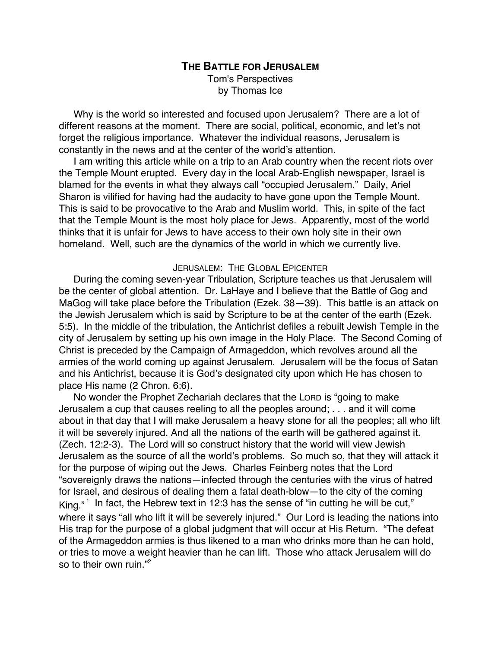# **THE BATTLE FOR JERUSALEM** Tom's Perspectives by Thomas Ice

Why is the world so interested and focused upon Jerusalem? There are a lot of different reasons at the moment. There are social, political, economic, and let's not forget the religious importance. Whatever the individual reasons, Jerusalem is constantly in the news and at the center of the world's attention.

I am writing this article while on a trip to an Arab country when the recent riots over the Temple Mount erupted. Every day in the local Arab-English newspaper, Israel is blamed for the events in what they always call "occupied Jerusalem." Daily, Ariel Sharon is vilified for having had the audacity to have gone upon the Temple Mount. This is said to be provocative to the Arab and Muslim world. This, in spite of the fact that the Temple Mount is the most holy place for Jews. Apparently, most of the world thinks that it is unfair for Jews to have access to their own holy site in their own homeland. Well, such are the dynamics of the world in which we currently live.

# JERUSALEM: THE GLOBAL EPICENTER

During the coming seven-year Tribulation, Scripture teaches us that Jerusalem will be the center of global attention. Dr. LaHaye and I believe that the Battle of Gog and MaGog will take place before the Tribulation (Ezek. 38—39). This battle is an attack on the Jewish Jerusalem which is said by Scripture to be at the center of the earth (Ezek. 5:5). In the middle of the tribulation, the Antichrist defiles a rebuilt Jewish Temple in the city of Jerusalem by setting up his own image in the Holy Place. The Second Coming of Christ is preceded by the Campaign of Armageddon, which revolves around all the armies of the world coming up against Jerusalem. Jerusalem will be the focus of Satan and his Antichrist, because it is God's designated city upon which He has chosen to place His name (2 Chron. 6:6).

No wonder the Prophet Zechariah declares that the LORD is "going to make Jerusalem a cup that causes reeling to all the peoples around; . . . and it will come about in that day that I will make Jerusalem a heavy stone for all the peoples; all who lift it will be severely injured. And all the nations of the earth will be gathered against it. (Zech. 12:2-3). The Lord will so construct history that the world will view Jewish Jerusalem as the source of all the world's problems. So much so, that they will attack it for the purpose of wiping out the Jews. Charles Feinberg notes that the Lord "sovereignly draws the nations—infected through the centuries with the virus of hatred for Israel, and desirous of dealing them a fatal death-blow—to the city of the coming King." $^1$  In fact, the Hebrew text in 12:3 has the sense of "in cutting he will be cut," where it says "all who lift it will be severely injured." Our Lord is leading the nations into His trap for the purpose of a global judgment that will occur at His Return. "The defeat of the Armageddon armies is thus likened to a man who drinks more than he can hold, or tries to move a weight heavier than he can lift. Those who attack Jerusalem will do so to their own ruin."2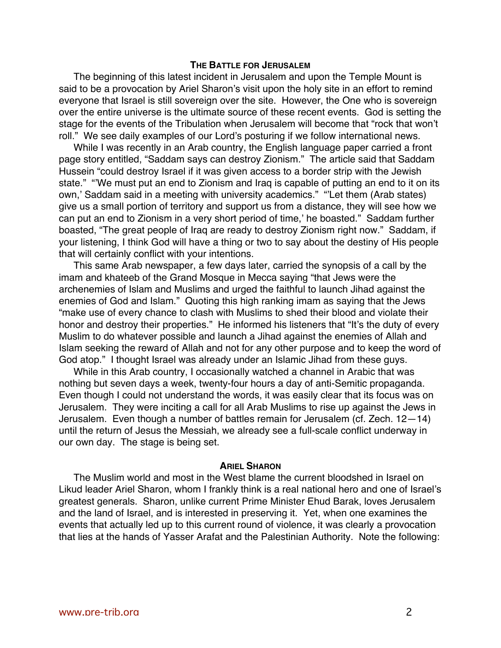### **THE BATTLE FOR JERUSALEM**

The beginning of this latest incident in Jerusalem and upon the Temple Mount is said to be a provocation by Ariel Sharon's visit upon the holy site in an effort to remind everyone that Israel is still sovereign over the site. However, the One who is sovereign over the entire universe is the ultimate source of these recent events. God is setting the stage for the events of the Tribulation when Jerusalem will become that "rock that won't roll." We see daily examples of our Lord's posturing if we follow international news.

While I was recently in an Arab country, the English language paper carried a front page story entitled, "Saddam says can destroy Zionism." The article said that Saddam Hussein "could destroy Israel if it was given access to a border strip with the Jewish state." "'We must put an end to Zionism and Iraq is capable of putting an end to it on its own,' Saddam said in a meeting with university academics." "'Let them (Arab states) give us a small portion of territory and support us from a distance, they will see how we can put an end to Zionism in a very short period of time,' he boasted." Saddam further boasted, "The great people of Iraq are ready to destroy Zionism right now." Saddam, if your listening, I think God will have a thing or two to say about the destiny of His people that will certainly conflict with your intentions.

This same Arab newspaper, a few days later, carried the synopsis of a call by the imam and khateeb of the Grand Mosque in Mecca saying "that Jews were the archenemies of Islam and Muslims and urged the faithful to launch Jihad against the enemies of God and Islam." Quoting this high ranking imam as saying that the Jews "make use of every chance to clash with Muslims to shed their blood and violate their honor and destroy their properties." He informed his listeners that "It's the duty of every Muslim to do whatever possible and launch a Jihad against the enemies of Allah and Islam seeking the reward of Allah and not for any other purpose and to keep the word of God atop." I thought Israel was already under an Islamic Jihad from these guys.

While in this Arab country, I occasionally watched a channel in Arabic that was nothing but seven days a week, twenty-four hours a day of anti-Semitic propaganda. Even though I could not understand the words, it was easily clear that its focus was on Jerusalem. They were inciting a call for all Arab Muslims to rise up against the Jews in Jerusalem. Even though a number of battles remain for Jerusalem (cf. Zech. 12—14) until the return of Jesus the Messiah, we already see a full-scale conflict underway in our own day. The stage is being set.

#### **ARIEL SHARON**

The Muslim world and most in the West blame the current bloodshed in Israel on Likud leader Ariel Sharon, whom I frankly think is a real national hero and one of Israel's greatest generals. Sharon, unlike current Prime Minister Ehud Barak, loves Jerusalem and the land of Israel, and is interested in preserving it. Yet, when one examines the events that actually led up to this current round of violence, it was clearly a provocation that lies at the hands of Yasser Arafat and the Palestinian Authority. Note the following: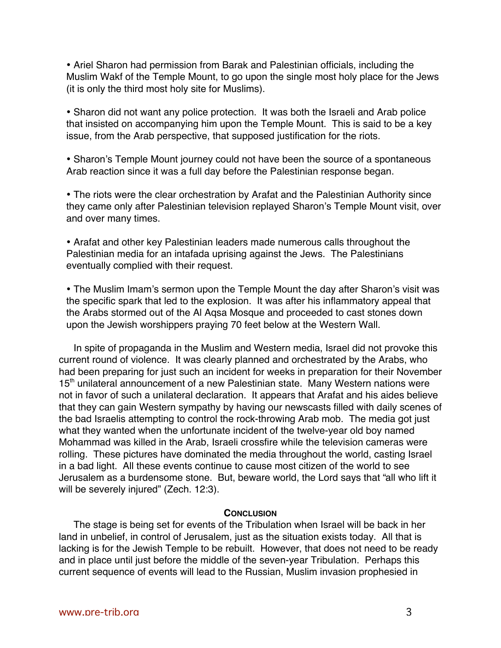Ariel Sharon had permission from Barak and Palestinian officials, including the Muslim Wakf of the Temple Mount, to go upon the single most holy place for the Jews (it is only the third most holy site for Muslims).

Sharon did not want any police protection. It was both the Israeli and Arab police that insisted on accompanying him upon the Temple Mount. This is said to be a key issue, from the Arab perspective, that supposed justification for the riots.

Sharon's Temple Mount journey could not have been the source of a spontaneous Arab reaction since it was a full day before the Palestinian response began.

The riots were the clear orchestration by Arafat and the Palestinian Authority since they came only after Palestinian television replayed Sharon's Temple Mount visit, over and over many times.

Arafat and other key Palestinian leaders made numerous calls throughout the Palestinian media for an intafada uprising against the Jews. The Palestinians eventually complied with their request.

The Muslim Imam's sermon upon the Temple Mount the day after Sharon's visit was the specific spark that led to the explosion. It was after his inflammatory appeal that the Arabs stormed out of the Al Aqsa Mosque and proceeded to cast stones down upon the Jewish worshippers praying 70 feet below at the Western Wall.

In spite of propaganda in the Muslim and Western media, Israel did not provoke this current round of violence. It was clearly planned and orchestrated by the Arabs, who had been preparing for just such an incident for weeks in preparation for their November 15<sup>th</sup> unilateral announcement of a new Palestinian state. Many Western nations were not in favor of such a unilateral declaration. It appears that Arafat and his aides believe that they can gain Western sympathy by having our newscasts filled with daily scenes of the bad Israelis attempting to control the rock-throwing Arab mob. The media got just what they wanted when the unfortunate incident of the twelve-year old boy named Mohammad was killed in the Arab, Israeli crossfire while the television cameras were rolling. These pictures have dominated the media throughout the world, casting Israel in a bad light. All these events continue to cause most citizen of the world to see Jerusalem as a burdensome stone. But, beware world, the Lord says that "all who lift it will be severely injured" (Zech. 12:3).

## **CONCLUSION**

The stage is being set for events of the Tribulation when Israel will be back in her land in unbelief, in control of Jerusalem, just as the situation exists today. All that is lacking is for the Jewish Temple to be rebuilt. However, that does not need to be ready and in place until just before the middle of the seven-year Tribulation. Perhaps this current sequence of events will lead to the Russian, Muslim invasion prophesied in